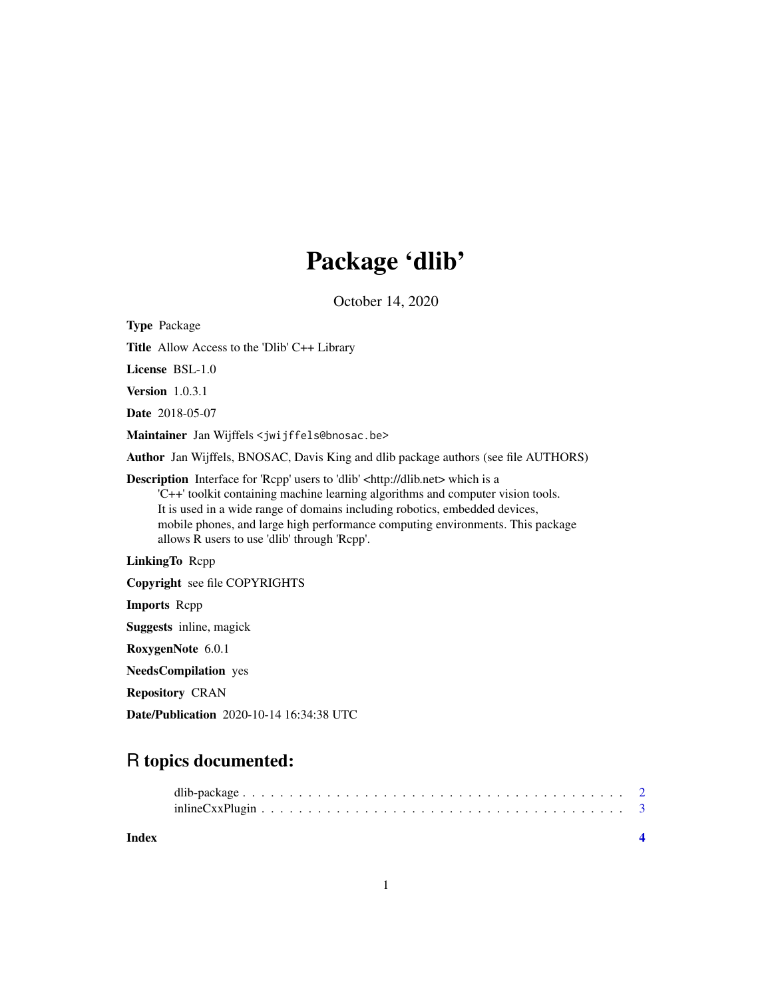# Package 'dlib'

October 14, 2020

Type Package

Title Allow Access to the 'Dlib' C++ Library

License BSL-1.0

Version 1.0.3.1

Date 2018-05-07

Maintainer Jan Wijffels <jwijffels@bnosac.be>

Author Jan Wijffels, BNOSAC, Davis King and dlib package authors (see file AUTHORS)

Description Interface for 'Rcpp' users to 'dlib' <http://dlib.net> which is a 'C++' toolkit containing machine learning algorithms and computer vision tools. It is used in a wide range of domains including robotics, embedded devices, mobile phones, and large high performance computing environments. This package allows R users to use 'dlib' through 'Rcpp'.

LinkingTo Rcpp

Copyright see file COPYRIGHTS

Imports Rcpp

Suggests inline, magick

RoxygenNote 6.0.1

NeedsCompilation yes

Repository CRAN

Date/Publication 2020-10-14 16:34:38 UTC

# R topics documented:

| Index |  |
|-------|--|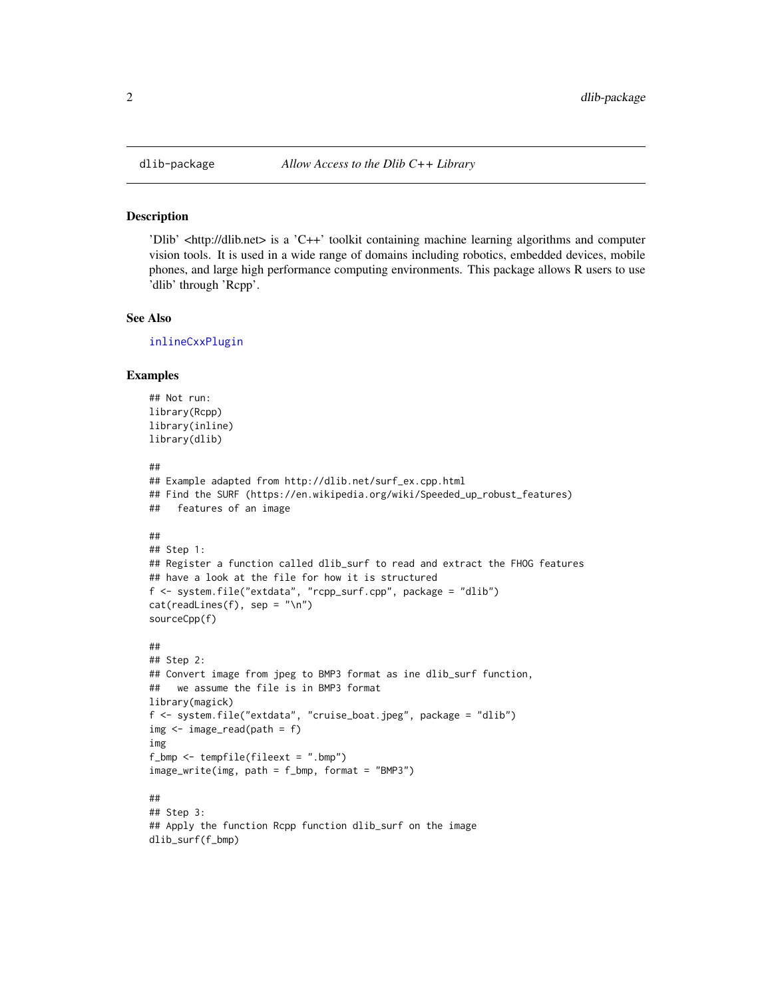#### Description

'Dlib' <http://dlib.net> is a 'C++' toolkit containing machine learning algorithms and computer vision tools. It is used in a wide range of domains including robotics, embedded devices, mobile phones, and large high performance computing environments. This package allows R users to use 'dlib' through 'Rcpp'.

#### See Also

[inlineCxxPlugin](#page-2-1)

#### Examples

```
## Not run:
library(Rcpp)
library(inline)
library(dlib)
##
## Example adapted from http://dlib.net/surf_ex.cpp.html
## Find the SURF (https://en.wikipedia.org/wiki/Speeded_up_robust_features)
## features of an image
##
## Step 1:
## Register a function called dlib_surf to read and extract the FHOG features
## have a look at the file for how it is structured
f <- system.file("extdata", "rcpp_surf.cpp", package = "dlib")
cat(readLines(f), sep = "\n")sourceCpp(f)
##
## Step 2:
## Convert image from jpeg to BMP3 format as ine dlib_surf function,
## we assume the file is in BMP3 format
library(magick)
f <- system.file("extdata", "cruise_boat.jpeg", package = "dlib")
img <- image_read(path = f)
img
f_bmp <- tempfile(fileext = ".bmp")
image_write(img, path = f_bmp, format = "BMP3")
##
## Step 3:
## Apply the function Rcpp function dlib_surf on the image
dlib_surf(f_bmp)
```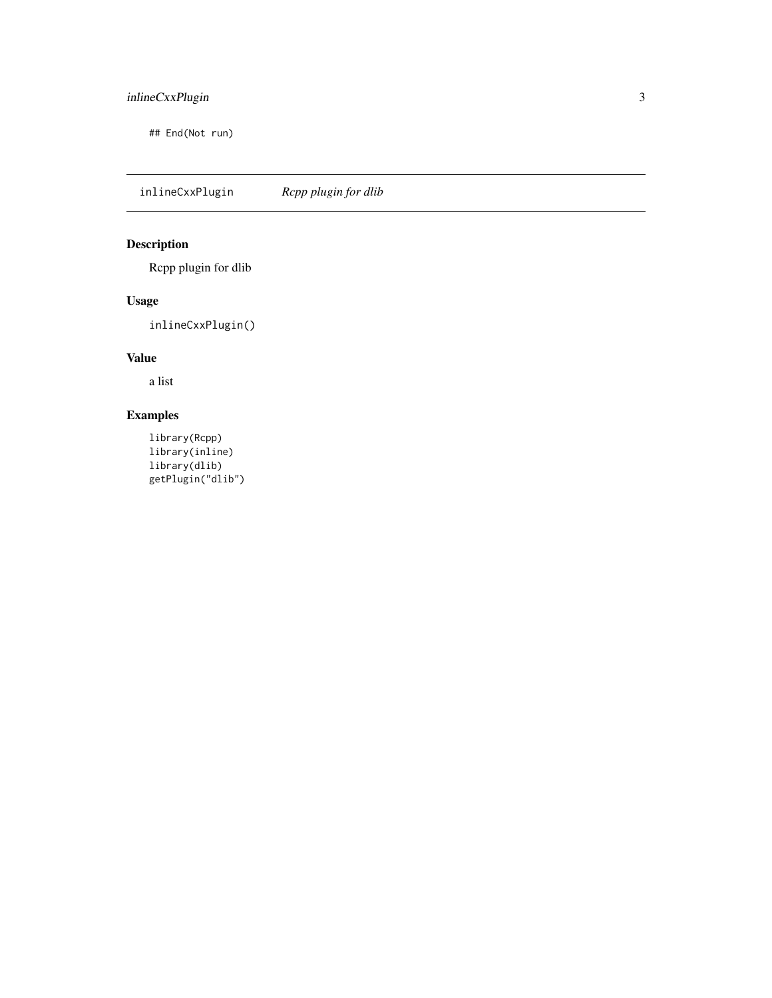#### <span id="page-2-0"></span>inlineCxxPlugin 3

## End(Not run)

<span id="page-2-1"></span>inlineCxxPlugin *Rcpp plugin for dlib*

#### Description

Rcpp plugin for dlib

#### Usage

inlineCxxPlugin()

### Value

a list

## Examples

library(Rcpp) library(inline) library(dlib) getPlugin("dlib")